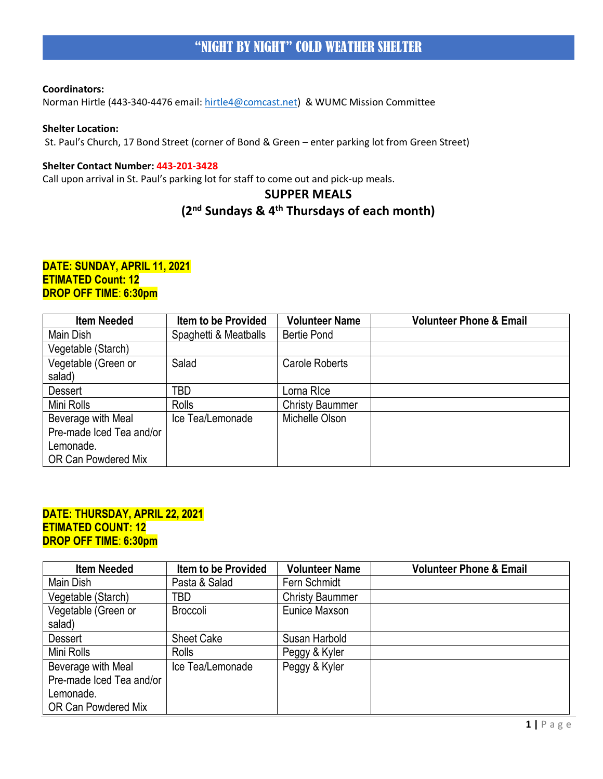Norman Hirtle (443-340-4476 email: [hirtle4@comcast.net\)](mailto:hirtle4@comcast.net) & WUMC Mission Committee

## **Shelter Location:**

St. Paul's Church, 17 Bond Street (corner of Bond & Green – enter parking lot from Green Street)

#### **Shelter Contact Number: 443-201-3428**

Call upon arrival in St. Paul's parking lot for staff to come out and pick-up meals.

# **SUPPER MEALS**

# **(2nd Sundays & 4th Thursdays of each month)**

## **DATE: SUNDAY, APRIL 11, 2021 ETIMATED Count: 12 DROP OFF TIME**: **6:30pm**

| <b>Item Needed</b>       | <b>Item to be Provided</b> | <b>Volunteer Name</b>  | <b>Volunteer Phone &amp; Email</b> |
|--------------------------|----------------------------|------------------------|------------------------------------|
| Main Dish                | Spaghetti & Meatballs      | <b>Bertie Pond</b>     |                                    |
| Vegetable (Starch)       |                            |                        |                                    |
| Vegetable (Green or      | Salad                      | Carole Roberts         |                                    |
| salad)                   |                            |                        |                                    |
| <b>Dessert</b>           | TBD                        | Lorna RIce             |                                    |
| Mini Rolls               | Rolls                      | <b>Christy Baummer</b> |                                    |
| Beverage with Meal       | Ice Tea/Lemonade           | Michelle Olson         |                                    |
| Pre-made Iced Tea and/or |                            |                        |                                    |
| Lemonade.                |                            |                        |                                    |
| OR Can Powdered Mix      |                            |                        |                                    |

## **DATE: THURSDAY, APRIL 22, 2021 ETIMATED COUNT: 12 DROP OFF TIME**: **6:30pm**

| <b>Item Needed</b>       | <b>Item to be Provided</b> | <b>Volunteer Name</b>  | <b>Volunteer Phone &amp; Email</b> |
|--------------------------|----------------------------|------------------------|------------------------------------|
| Main Dish                | Pasta & Salad              | Fern Schmidt           |                                    |
| Vegetable (Starch)       | TBD                        | <b>Christy Baummer</b> |                                    |
| Vegetable (Green or      | <b>Broccoli</b>            | Eunice Maxson          |                                    |
| salad)                   |                            |                        |                                    |
| <b>Dessert</b>           | <b>Sheet Cake</b>          | Susan Harbold          |                                    |
| Mini Rolls               | <b>Rolls</b>               | Peggy & Kyler          |                                    |
| Beverage with Meal       | Ice Tea/Lemonade           | Peggy & Kyler          |                                    |
| Pre-made Iced Tea and/or |                            |                        |                                    |
| Lemonade.                |                            |                        |                                    |
| OR Can Powdered Mix      |                            |                        |                                    |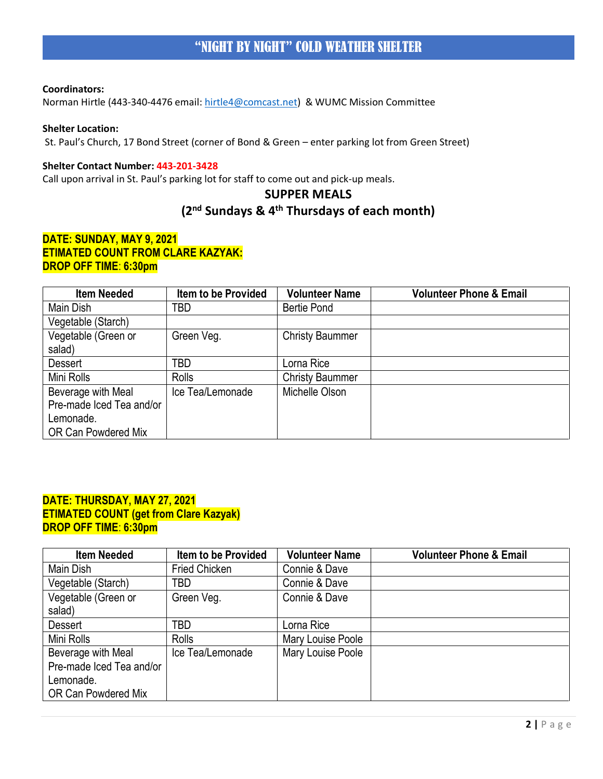Norman Hirtle (443-340-4476 email: [hirtle4@comcast.net\)](mailto:hirtle4@comcast.net) & WUMC Mission Committee

## **Shelter Location:**

St. Paul's Church, 17 Bond Street (corner of Bond & Green – enter parking lot from Green Street)

#### **Shelter Contact Number: 443-201-3428**

Call upon arrival in St. Paul's parking lot for staff to come out and pick-up meals.

# **SUPPER MEALS**

# **(2nd Sundays & 4th Thursdays of each month)**

## **DATE: SUNDAY, MAY 9, 2021 ETIMATED COUNT FROM CLARE KAZYAK: DROP OFF TIME**: **6:30pm**

| <b>Item Needed</b>       | Item to be Provided | <b>Volunteer Name</b>  | <b>Volunteer Phone &amp; Email</b> |
|--------------------------|---------------------|------------------------|------------------------------------|
| Main Dish                | TBD                 | <b>Bertie Pond</b>     |                                    |
| Vegetable (Starch)       |                     |                        |                                    |
| Vegetable (Green or      | Green Veg.          | <b>Christy Baummer</b> |                                    |
| salad)                   |                     |                        |                                    |
| <b>Dessert</b>           | TBD                 | Lorna Rice             |                                    |
| Mini Rolls               | <b>Rolls</b>        | <b>Christy Baummer</b> |                                    |
| Beverage with Meal       | Ice Tea/Lemonade    | Michelle Olson         |                                    |
| Pre-made Iced Tea and/or |                     |                        |                                    |
| Lemonade.                |                     |                        |                                    |
| OR Can Powdered Mix      |                     |                        |                                    |

## **DATE: THURSDAY, MAY 27, 2021 ETIMATED COUNT (get from Clare Kazyak) DROP OFF TIME**: **6:30pm**

| <b>Item Needed</b>       | <b>Item to be Provided</b> | <b>Volunteer Name</b> | <b>Volunteer Phone &amp; Email</b> |
|--------------------------|----------------------------|-----------------------|------------------------------------|
| Main Dish                | <b>Fried Chicken</b>       | Connie & Dave         |                                    |
| Vegetable (Starch)       | TBD                        | Connie & Dave         |                                    |
| Vegetable (Green or      | Green Veg.                 | Connie & Dave         |                                    |
| salad)                   |                            |                       |                                    |
| <b>Dessert</b>           | TBD                        | orna Rice             |                                    |
| Mini Rolls               | <b>Rolls</b>               | Mary Louise Poole     |                                    |
| Beverage with Meal       | Ice Tea/Lemonade           | Mary Louise Poole     |                                    |
| Pre-made Iced Tea and/or |                            |                       |                                    |
| Lemonade.                |                            |                       |                                    |
| OR Can Powdered Mix      |                            |                       |                                    |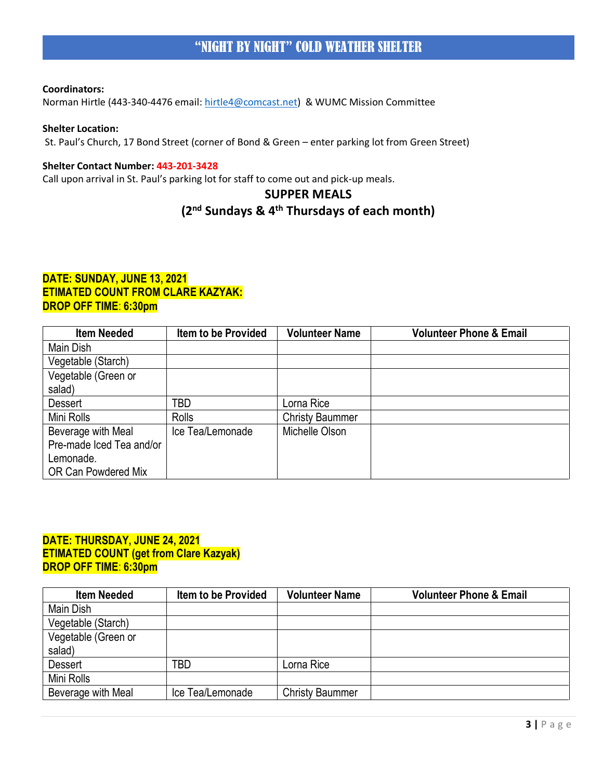Norman Hirtle (443-340-4476 email: [hirtle4@comcast.net\)](mailto:hirtle4@comcast.net) & WUMC Mission Committee

## **Shelter Location:**

St. Paul's Church, 17 Bond Street (corner of Bond & Green – enter parking lot from Green Street)

#### **Shelter Contact Number: 443-201-3428**

Call upon arrival in St. Paul's parking lot for staff to come out and pick-up meals.

## **SUPPER MEALS**

# **(2nd Sundays & 4th Thursdays of each month)**

## **DATE: SUNDAY, JUNE 13, 2021 ETIMATED COUNT FROM CLARE KAZYAK: DROP OFF TIME**: **6:30pm**

| <b>Item Needed</b>       | <b>Item to be Provided</b> | <b>Volunteer Name</b>  | <b>Volunteer Phone &amp; Email</b> |
|--------------------------|----------------------------|------------------------|------------------------------------|
| Main Dish                |                            |                        |                                    |
| Vegetable (Starch)       |                            |                        |                                    |
| Vegetable (Green or      |                            |                        |                                    |
| salad)                   |                            |                        |                                    |
| <b>Dessert</b>           | TBD                        | orna Rice              |                                    |
| Mini Rolls               | Rolls                      | <b>Christy Baummer</b> |                                    |
| Beverage with Meal       | Ice Tea/Lemonade           | Michelle Olson         |                                    |
| Pre-made Iced Tea and/or |                            |                        |                                    |
| Lemonade.                |                            |                        |                                    |
| OR Can Powdered Mix      |                            |                        |                                    |

## **DATE: THURSDAY, JUNE 24, 2021 ETIMATED COUNT (get from Clare Kazyak) DROP OFF TIME**: **6:30pm**

| <b>Item Needed</b>  | <b>Item to be Provided</b> | <b>Volunteer Name</b>  | <b>Volunteer Phone &amp; Email</b> |
|---------------------|----------------------------|------------------------|------------------------------------|
| Main Dish           |                            |                        |                                    |
| Vegetable (Starch)  |                            |                        |                                    |
| Vegetable (Green or |                            |                        |                                    |
| salad)              |                            |                        |                                    |
| <b>Dessert</b>      | TBD                        | Lorna Rice             |                                    |
| Mini Rolls          |                            |                        |                                    |
| Beverage with Meal  | Ice Tea/Lemonade           | <b>Christy Baummer</b> |                                    |